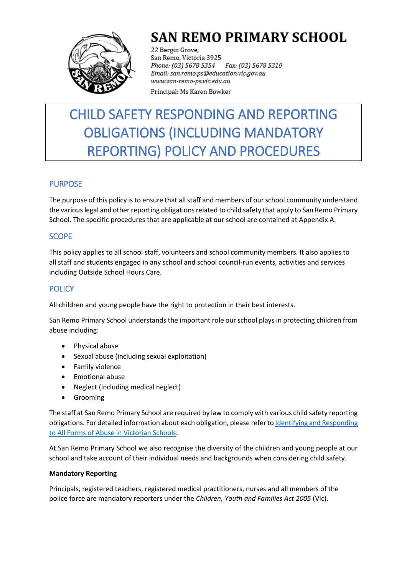

# **SAN REMO PRIMARY SCHOOL**

22 Bergin Grove, San Remo, Victoria 3925 Fax: (03) 5678 5310 Phone: (03) 5678 5354 Email: san.remo.ps@education.vic.gov.au www.san-remo-ps.vic.edu.au Principal: Ms Karen Bowker

# CHILD SAFETY RESPONDING AND REPORTING OBLIGATIONS (INCLUDING MANDATORY REPORTING) POLICY AND PROCEDURES

## PURPOSE

The purpose of this policy is to ensure that all staff and members of our school community understand the various legal and other reporting obligations related to child safety that apply to San Remo Primary School. The specific procedures that are applicable at our school are contained at Appendix A.

## **SCOPE**

This policy applies to all school staff, volunteers and school community members. It also applies to all staff and students engaged in any school and school council-run events, activities and services including Outside School Hours Care.

## **POLICY**

All children and young people have the right to protection in their best interests.

San Remo Primary School understands the important role our school plays in protecting children from abuse including:

- Physical abuse
- Sexual abuse (including sexual exploitation)
- **•** Family violence
- **•** Emotional abuse
- Neglect (including medical neglect)
- **•** Grooming

The staff at San Remo Primary School are required by law to comply with various child safety reporting obligations. For detailed information about each obligation, please refer t[o Identifying and Responding](https://www.education.vic.gov.au/Documents/about/programs/health/protect/ChildSafeStandard5_SchoolsGuide.pdf)  [to All Forms of Abuse in Victorian Schools.](https://www.education.vic.gov.au/Documents/about/programs/health/protect/ChildSafeStandard5_SchoolsGuide.pdf)

At San Remo Primary School we also recognise the diversity of the children and young people at our school and take account of their individual needs and backgrounds when considering child safety.

## **Mandatory Reporting**

Principals, registered teachers, registered medical practitioners, nurses and all members of the police force are mandatory reporters under the *Children, Youth and Families Act 2005* (Vic).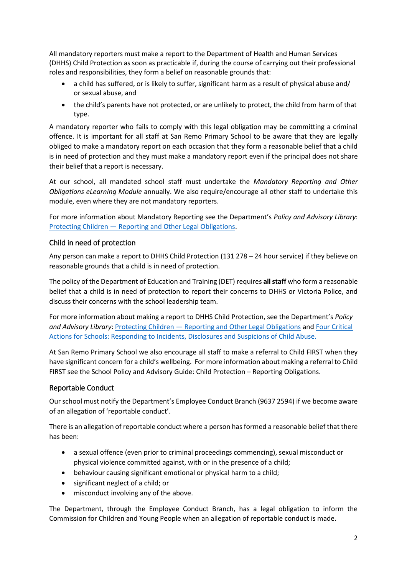All mandatory reporters must make a report to the Department of Health and Human Services (DHHS) Child Protection as soon as practicable if, during the course of carrying out their professional roles and responsibilities, they form a belief on reasonable grounds that:

- a child has suffered, or is likely to suffer, significant harm as a result of physical abuse and/ or sexual abuse, and
- the child's parents have not protected, or are unlikely to protect, the child from harm of that type.

A mandatory reporter who fails to comply with this legal obligation may be committing a criminal offence. It is important for all staff at San Remo Primary School to be aware that they are legally obliged to make a mandatory report on each occasion that they form a reasonable belief that a child is in need of protection and they must make a mandatory report even if the principal does not share their belief that a report is necessary.

At our school, all mandated school staff must undertake the *Mandatory Reporting and Other Obligations eLearning Module* annually. We also require/encourage all other staff to undertake this module, even where they are not mandatory reporters.

For more information about Mandatory Reporting see the Department's *Policy and Advisory Library*: Protecting Children — [Reporting and Other Legal Obligations.](https://www2.education.vic.gov.au/pal/protecting-children/policy)

## Child in need of protection

Any person can make a report to DHHS Child Protection (131 278 – 24 hour service) if they believe on reasonable grounds that a child is in need of protection.

The policy of the Department of Education and Training (DET) requires **all staff** who form a reasonable belief that a child is in need of protection to report their concerns to DHHS or Victoria Police, and discuss their concerns with the school leadership team.

For more information about making a report to DHHS Child Protection, see the Department's *Policy and Advisory Library*: Protecting Children — [Reporting and Other Legal Obligations](https://www2.education.vic.gov.au/pal/protecting-children/policy) and [Four Critical](https://www.education.vic.gov.au/Documents/about/programs/health/protect/FourCriticalActions_ChildAbuse.pdf)  [Actions for Schools: Responding to Incidents, Disclosures and Suspicions of Child Abuse.](https://www.education.vic.gov.au/Documents/about/programs/health/protect/FourCriticalActions_ChildAbuse.pdf)

At San Remo Primary School we also encourage all staff to make a referral to Child FIRST when they have significant concern for a child's wellbeing. For more information about making a referral to Child FIRST see the School Policy and Advisory Guide: Child Protection – [Reporting Obligations.](https://www.education.vic.gov.au/school/principals/spag/safety/Pages/childprotectobligation.aspx)

## Reportable Conduct

Our school must notify the Department's Employee Conduct Branch (9637 2594) if we become aware of an allegation of 'reportable conduct'.

There is an allegation of reportable conduct where a person has formed a reasonable belief that there has been:

- a sexual offence (even prior to criminal proceedings commencing), sexual misconduct or physical violence committed against, with or in the presence of a child;
- behaviour causing significant emotional or physical harm to a child;
- significant neglect of a child; or
- misconduct involving any of the above.

The Department, through the Employee Conduct Branch, has a legal obligation to inform the Commission for Children and Young People when an allegation of reportable conduct is made.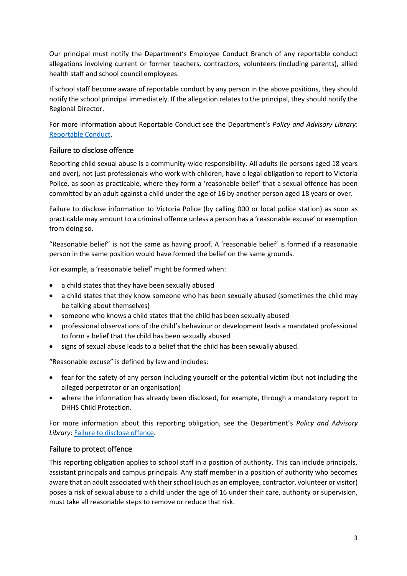Our principal must notify the Department's Employee Conduct Branch of any reportable conduct allegations involving current or former teachers, contractors, volunteers (including parents), allied health staff and school council employees.

If school staff become aware of reportable conduct by any person in the above positions, they should notify the school principal immediately. If the allegation relates to the principal, they should notify the Regional Director.

For more information about Reportable Conduct see the Department's *Policy and Advisory Library*: [Reportable Conduct.](https://www2.education.vic.gov.au/pal/reportable-conduct-scheme/policy)

## Failure to disclose offence

Reporting child sexual abuse is a community-wide responsibility. All adults (ie persons aged 18 years and over), not just professionals who work with children, have a legal obligation to report to Victoria Police, as soon as practicable, where they form a 'reasonable belief' that a sexual offence has been committed by an adult against a child under the age of 16 by another person aged 18 years or over.

Failure to disclose information to Victoria Police (by calling 000 or local police station) as soon as practicable may amount to a criminal offence unless a person has a 'reasonable excuse' or exemption from doing so.

"Reasonable belief" is not the same as having proof. A 'reasonable belief' is formed if a reasonable person in the same position would have formed the belief on the same grounds.

For example, a 'reasonable belief' might be formed when:

- a child states that they have been sexually abused
- a child states that they know someone who has been sexually abused (sometimes the child may be talking about themselves)
- someone who knows a child states that the child has been sexually abused
- professional observations of the child's behaviour or development leads a mandated professional to form a belief that the child has been sexually abused
- signs of sexual abuse leads to a belief that the child has been sexually abused.

"Reasonable excuse" is defined by law and includes:

- fear for the safety of any person including yourself or the potential victim (but not including the alleged perpetrator or an organisation)
- where the information has already been disclosed, for example, through a mandatory report to DHHS Child Protection.

For more information about this reporting obligation, see the Department's *Policy and Advisory*  **Library: [Failure to disclose offence.](https://www2.education.vic.gov.au/pal/protecting-children/policy)** 

## Failure to protect offence

This reporting obligation applies to school staff in a position of authority. This can include principals, assistant principals and campus principals. Any staff member in a position of authority who becomes aware that an adult associated with their school (such as an employee, contractor, volunteer or visitor) poses a risk of sexual abuse to a child under the age of 16 under their care, authority or supervision, must take all reasonable steps to remove or reduce that risk.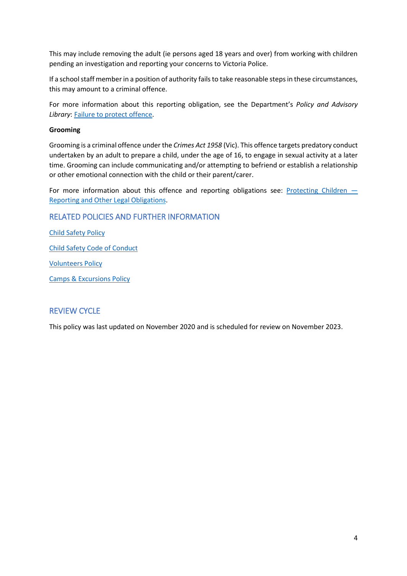This may include removing the adult (ie persons aged 18 years and over) from working with children pending an investigation and reporting your concerns to Victoria Police.

If a school staff member in a position of authority fails to take reasonable steps in these circumstances, this may amount to a criminal offence.

For more information about this reporting obligation, see the Department's *Policy and Advisory Library*: [Failure to protect offence.](https://www2.education.vic.gov.au/pal/protecting-children/policy)

### **Grooming**

Grooming is a criminal offence under the *Crimes Act 1958* (Vic). This offence targets predatory conduct undertaken by an adult to prepare a child, under the age of 16, to engage in sexual activity at a later time. Grooming can include communicating and/or attempting to befriend or establish a relationship or other emotional connection with the child or their parent/carer.

For more information about this offence and reporting obligations see: [Protecting Children](https://www2.education.vic.gov.au/pal/protecting-children/policy)  $-$ [Reporting and Other Legal Obligations.](https://www2.education.vic.gov.au/pal/protecting-children/policy)

## RELATED POLICIES AND FURTHER INFORMATION

[Child Safety Policy](SRPS%20child-safety-policy.pdf) [Child Safety Code of Conduct](SRPS%20Standard%203%20Code%20of%20Conduct%20%202020.pdf)

[Volunteers Policy](../Volunteers%20Policy.pdf)

Camps [& Excursions Policy](../Camps%20and%20Excursions%20Policy.pdf)

## REVIEW CYCLE

This policy was last updated on November 2020 and is scheduled for review on November 2023.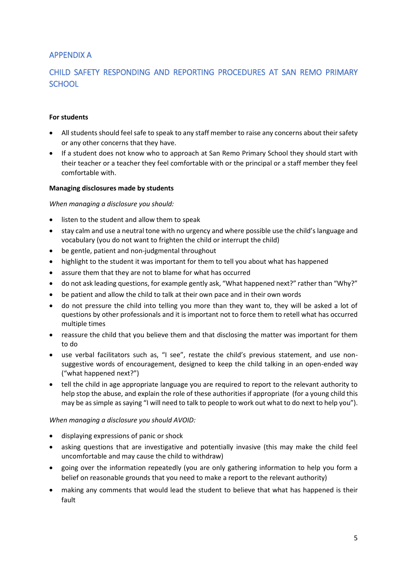## APPENDIX A

# CHILD SAFETY RESPONDING AND REPORTING PROCEDURES AT SAN REMO PRIMARY **SCHOOL**

### **For students**

- All students should feel safe to speak to any staff member to raise any concerns about their safety or any other concerns that they have.
- If a student does not know who to approach at San Remo Primary School they should start with their teacher or a teacher they feel comfortable with or the principal or a staff member they feel comfortable with.

#### **Managing disclosures made by students**

## *When managing a disclosure you should:*

- listen to the student and allow them to speak
- stay calm and use a neutral tone with no urgency and where possible use the child's language and vocabulary (you do not want to frighten the child or interrupt the child)
- be gentle, patient and non-judgmental throughout
- highlight to the student it was important for them to tell you about what has happened
- assure them that they are not to blame for what has occurred
- do not ask leading questions, for example gently ask, "What happened next?" rather than "Why?"
- be patient and allow the child to talk at their own pace and in their own words
- do not pressure the child into telling you more than they want to, they will be asked a lot of questions by other professionals and it is important not to force them to retell what has occurred multiple times
- reassure the child that you believe them and that disclosing the matter was important for them to do
- use verbal facilitators such as, "I see", restate the child's previous statement, and use nonsuggestive words of encouragement, designed to keep the child talking in an open-ended way ("what happened next?")
- tell the child in age appropriate language you are required to report to the relevant authority to help stop the abuse, and explain the role of these authorities if appropriate (for a young child this may be as simple as saying "I will need to talk to people to work out what to do next to help you").

#### *When managing a disclosure you should AVOID:*

- displaying expressions of panic or shock
- asking questions that are investigative and potentially invasive (this may make the child feel uncomfortable and may cause the child to withdraw)
- going over the information repeatedly (you are only gathering information to help you form a belief on reasonable grounds that you need to make a report to the relevant authority)
- making any comments that would lead the student to believe that what has happened is their fault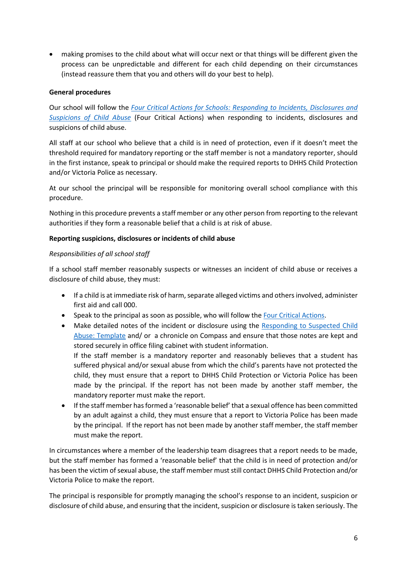making promises to the child about what will occur next or that things will be different given the process can be unpredictable and different for each child depending on their circumstances (instead reassure them that you and others will do your best to help).

## **General procedures**

Our school will follow the *[Four Critical Actions for Schools: Responding to Incidents, Disclosures and](https://www.education.vic.gov.au/Documents/about/programs/health/protect/FourCriticalActions_ChildAbuse.pdf)  [Suspicions of Child Abuse](https://www.education.vic.gov.au/Documents/about/programs/health/protect/FourCriticalActions_ChildAbuse.pdf)* (Four Critical Actions) when responding to incidents, disclosures and suspicions of child abuse.

All staff at our school who believe that a child is in need of protection, even if it doesn't meet the threshold required for mandatory reporting or the staff member is not a mandatory reporter, should in the first instance, speak to principal or should make the required reports to DHHS Child Protection and/or Victoria Police as necessary.

At our school the principal will be responsible for monitoring overall school compliance with this procedure.

Nothing in this procedure prevents a staff member or any other person from reporting to the relevant authorities if they form a reasonable belief that a child is at risk of abuse.

#### **Reporting suspicions, disclosures or incidents of child abuse**

## *Responsibilities of all school staff*

If a school staff member reasonably suspects or witnesses an incident of child abuse or receives a disclosure of child abuse, they must:

- If a child is at immediate risk of harm, separate alleged victims and others involved, administer first aid and call 000.
- Speak to the principal as soon as possible, who will follow the [Four Critical Actions.](https://www.education.vic.gov.au/Documents/about/programs/health/protect/FourCriticalActions_ChildAbuse.pdf)
- Make detailed notes of the incident or disclosure using the [Responding to Suspected Child](https://www.education.vic.gov.au/Documents/about/programs/health/protect/PROTECT_Schoolstemplate.pdf)  [Abuse: Template](https://www.education.vic.gov.au/Documents/about/programs/health/protect/PROTECT_Schoolstemplate.pdf) and/ or a chronicle on Compass and ensure that those notes are kept and stored securely in office filing cabinet with student information.

If the staff member is a mandatory reporter and reasonably believes that a student has suffered physical and/or sexual abuse from which the child's parents have not protected the child, they must ensure that a report to DHHS Child Protection or Victoria Police has been made by the principal. If the report has not been made by another staff member, the mandatory reporter must make the report.

 If the staff member has formed a 'reasonable belief' that a sexual offence has been committed by an adult against a child, they must ensure that a report to Victoria Police has been made by the principal. If the report has not been made by another staff member, the staff member must make the report.

In circumstances where a member of the leadership team disagrees that a report needs to be made, but the staff member has formed a 'reasonable belief' that the child is in need of protection and/or has been the victim of sexual abuse, the staff member must still contact DHHS Child Protection and/or Victoria Police to make the report.

The principal is responsible for promptly managing the school's response to an incident, suspicion or disclosure of child abuse, and ensuring that the incident, suspicion or disclosure is taken seriously. The